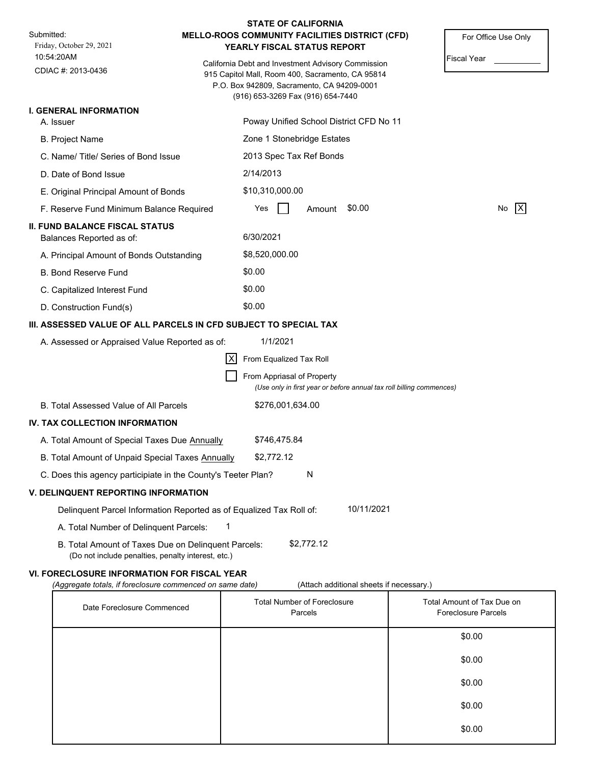|                                                                                                           | <b>STATE OF CALIFORNIA</b>                                                                                                                                                                |                     |
|-----------------------------------------------------------------------------------------------------------|-------------------------------------------------------------------------------------------------------------------------------------------------------------------------------------------|---------------------|
| Submitted:<br>Friday, October 29, 2021                                                                    | MELLO-ROOS COMMUNITY FACILITIES DISTRICT (CFD)<br>YEARLY FISCAL STATUS REPORT                                                                                                             | For Office Use Only |
| 10:54:20AM<br>CDIAC #: 2013-0436                                                                          | California Debt and Investment Advisory Commission<br>915 Capitol Mall, Room 400, Sacramento, CA 95814<br>P.O. Box 942809, Sacramento, CA 94209-0001<br>(916) 653-3269 Fax (916) 654-7440 | <b>Fiscal Year</b>  |
| <b>I. GENERAL INFORMATION</b>                                                                             |                                                                                                                                                                                           |                     |
| A. Issuer                                                                                                 | Poway Unified School District CFD No 11                                                                                                                                                   |                     |
| <b>B. Project Name</b>                                                                                    | Zone 1 Stonebridge Estates                                                                                                                                                                |                     |
| C. Name/Title/Series of Bond Issue                                                                        | 2013 Spec Tax Ref Bonds                                                                                                                                                                   |                     |
| D. Date of Bond Issue                                                                                     | 2/14/2013                                                                                                                                                                                 |                     |
| E. Original Principal Amount of Bonds                                                                     | \$10,310,000.00                                                                                                                                                                           |                     |
| F. Reserve Fund Minimum Balance Required                                                                  | \$0.00<br>Yes<br>Amount                                                                                                                                                                   | X <br>No            |
| <b>II. FUND BALANCE FISCAL STATUS</b><br>Balances Reported as of:                                         | 6/30/2021                                                                                                                                                                                 |                     |
| A. Principal Amount of Bonds Outstanding                                                                  | \$8,520,000.00                                                                                                                                                                            |                     |
| <b>B. Bond Reserve Fund</b>                                                                               | \$0.00                                                                                                                                                                                    |                     |
| C. Capitalized Interest Fund                                                                              | \$0.00                                                                                                                                                                                    |                     |
| D. Construction Fund(s)                                                                                   | \$0.00                                                                                                                                                                                    |                     |
|                                                                                                           | III. ASSESSED VALUE OF ALL PARCELS IN CFD SUBJECT TO SPECIAL TAX                                                                                                                          |                     |
| A. Assessed or Appraised Value Reported as of:                                                            | 1/1/2021                                                                                                                                                                                  |                     |
|                                                                                                           | ΙX<br>From Equalized Tax Roll                                                                                                                                                             |                     |
|                                                                                                           | From Appriasal of Property<br>(Use only in first year or before annual tax roll billing commences)                                                                                        |                     |
| B. Total Assessed Value of All Parcels                                                                    | \$276,001,634.00                                                                                                                                                                          |                     |
| IV. TAX COLLECTION INFORMATION                                                                            |                                                                                                                                                                                           |                     |
| A. Total Amount of Special Taxes Due Annually                                                             | \$746,475.84                                                                                                                                                                              |                     |
| B. Total Amount of Unpaid Special Taxes Annually                                                          | \$2,772.12                                                                                                                                                                                |                     |
| C. Does this agency participiate in the County's Teeter Plan?                                             | N                                                                                                                                                                                         |                     |
| <b>V. DELINQUENT REPORTING INFORMATION</b>                                                                |                                                                                                                                                                                           |                     |
|                                                                                                           | 10/11/2021<br>Delinquent Parcel Information Reported as of Equalized Tax Roll of:                                                                                                         |                     |
| A. Total Number of Delinquent Parcels:                                                                    | 1                                                                                                                                                                                         |                     |
| B. Total Amount of Taxes Due on Delinquent Parcels:<br>(Do not include penalties, penalty interest, etc.) | \$2,772.12                                                                                                                                                                                |                     |
|                                                                                                           |                                                                                                                                                                                           |                     |

# **VI. FORECLOSURE INFORMATION FOR FISCAL YEAR**

*(Aggregate totals, if foreclosure commenced on same date)* (Attach additional sheets if necessary.)

| Date Foreclosure Commenced | <b>Total Number of Foreclosure</b><br>Parcels | Total Amount of Tax Due on<br><b>Foreclosure Parcels</b> |
|----------------------------|-----------------------------------------------|----------------------------------------------------------|
|                            |                                               | \$0.00                                                   |
|                            |                                               | \$0.00                                                   |
|                            |                                               | \$0.00                                                   |
|                            |                                               | \$0.00                                                   |
|                            |                                               | \$0.00                                                   |